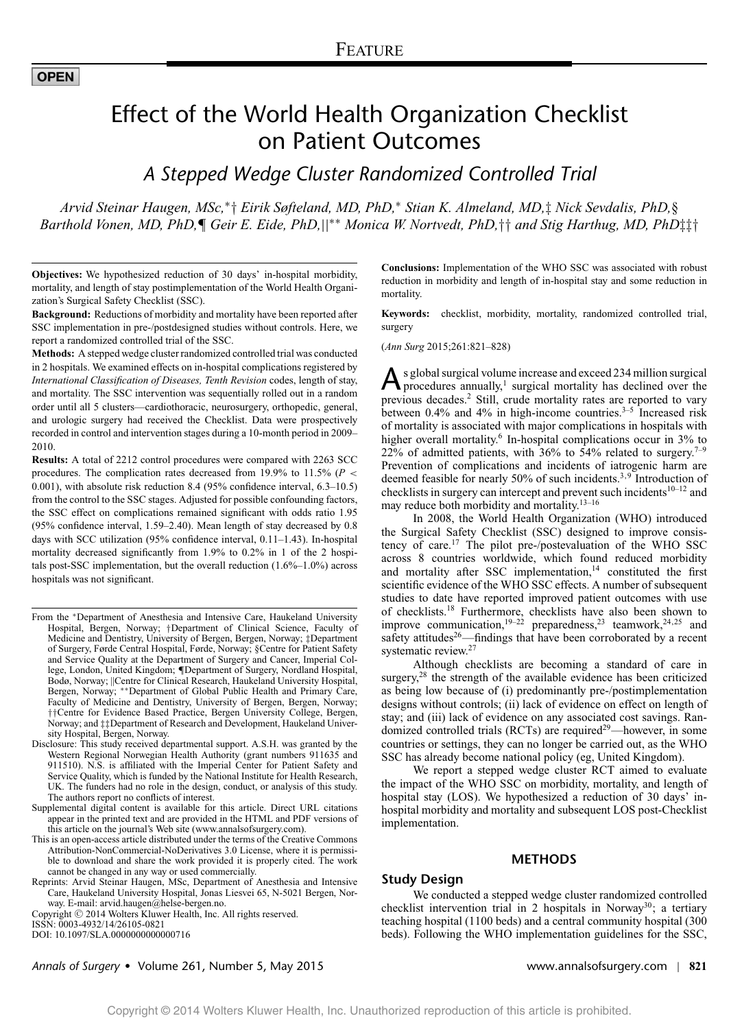# Effect of the World Health Organization Checklist on Patient Outcomes

*A Stepped Wedge Cluster Randomized Controlled Trial*

*Arvid Steinar Haugen, MSc,*<sup>∗</sup>† *Eirik Søfteland, MD, PhD,*<sup>∗</sup> *Stian K. Almeland, MD,*‡ *Nick Sevdalis, PhD,*§ *Barthold Vonen, MD, PhD,*¶ *Geir E. Eide, PhD,*||∗∗ *Monica W. Nortvedt, PhD,*†† *and Stig Harthug, MD, PhD*‡‡†

**Objectives:** We hypothesized reduction of 30 days' in-hospital morbidity, mortality, and length of stay postimplementation of the World Health Organization's Surgical Safety Checklist (SSC).

**Background:** Reductions of morbidity and mortality have been reported after SSC implementation in pre-/postdesigned studies without controls. Here, we report a randomized controlled trial of the SSC.

**Methods:** A stepped wedge cluster randomized controlled trial was conducted in 2 hospitals. We examined effects on in-hospital complications registered by *International Classification of Diseases, Tenth Revision* codes, length of stay, and mortality. The SSC intervention was sequentially rolled out in a random order until all 5 clusters—cardiothoracic, neurosurgery, orthopedic, general, and urologic surgery had received the Checklist. Data were prospectively recorded in control and intervention stages during a 10-month period in 2009– 2010.

**Results:** A total of 2212 control procedures were compared with 2263 SCC procedures. The complication rates decreased from 19.9% to 11.5% ( $P <$ 0.001), with absolute risk reduction 8.4 (95% confidence interval, 6.3–10.5) from the control to the SSC stages. Adjusted for possible confounding factors, the SSC effect on complications remained significant with odds ratio 1.95 (95% confidence interval, 1.59–2.40). Mean length of stay decreased by 0.8 days with SCC utilization (95% confidence interval, 0.11–1.43). In-hospital mortality decreased significantly from 1.9% to 0.2% in 1 of the 2 hospitals post-SSC implementation, but the overall reduction (1.6%–1.0%) across hospitals was not significant.

- From the <sup>∗</sup>Department of Anesthesia and Intensive Care, Haukeland University Hospital, Bergen, Norway; †Department of Clinical Science, Faculty of Medicine and Dentistry, University of Bergen, Bergen, Norway; ‡Department of Surgery, Førde Central Hospital, Førde, Norway; §Centre for Patient Safety and Service Quality at the Department of Surgery and Cancer, Imperial College, London, United Kingdom; ¶Department of Surgery, Nordland Hospital, Bodø, Norway; ||Centre for Clinical Research, Haukeland University Hospital, Bergen, Norway; ∗∗Department of Global Public Health and Primary Care, Faculty of Medicine and Dentistry, University of Bergen, Bergen, Norway; ††Centre for Evidence Based Practice, Bergen University College, Bergen, Norway; and ‡‡Department of Research and Development, Haukeland University Hospital, Bergen, Norway.
- Disclosure: This study received departmental support. A.S.H. was granted by the Western Regional Norwegian Health Authority (grant numbers 911635 and 911510). N.S. is affiliated with the Imperial Center for Patient Safety and Service Quality, which is funded by the National Institute for Health Research, UK. The funders had no role in the design, conduct, or analysis of this study. The authors report no conflicts of interest.
- Supplemental digital content is available for this article. Direct URL citations appear in the printed text and are provided in the HTML and PDF versions of this article on the journal's Web site [\(www.annalsofsurgery.com\)](http://www.annalsofsurgery.com).
- This is an open-access article distributed under the terms of the Creative Commons Attribution-NonCommercial-NoDerivatives 3.0 License, where it is permissible to download and share the work provided it is properly cited. The work cannot be changed in any way or used commercially.
- Reprints: Arvid Steinar Haugen, MSc, Department of Anesthesia and Intensive Care, Haukeland University Hospital, Jonas Liesvei 65, N-5021 Bergen, Norway. E-mail: [arvid.haugen@helse-bergen.no.](mailto:arvid.haugen@helse-bergen.no)

**Conclusions:** Implementation of the WHO SSC was associated with robust reduction in morbidity and length of in-hospital stay and some reduction in mortality.

**Keywords:** checklist, morbidity, mortality, randomized controlled trial, surgery

(*Ann Surg* 2015;261:821–828)

 $\mathbf{A}$  s global surgical volume increase and exceed 234 million surgical<br>procedures annually,<sup>1</sup> surgical mortality has declined over the previous decades.<sup>2</sup> Still, crude mortality rates are reported to vary between  $0.4\%$  and  $4\%$  in high-income countries.<sup>3–5</sup> Increased risk of mortality is associated with major complications in hospitals with higher overall mortality.<sup>6</sup> In-hospital complications occur in 3% to 22% of admitted patients, with 36% to 54% related to surgery.<sup>7-9</sup> Prevention of complications and incidents of iatrogenic harm are deemed feasible for nearly 50% of such incidents.<sup>3,9</sup> Introduction of checklists in surgery can intercept and prevent such incidents  $10-12$  and may reduce both morbidity and mortality.13–16

In 2008, the World Health Organization (WHO) introduced the Surgical Safety Checklist (SSC) designed to improve consistency of care.<sup>17</sup> The pilot pre-/postevaluation of the WHO SSC across 8 countries worldwide, which found reduced morbidity and mortality after SSC implementation,<sup>14</sup> constituted the first scientific evidence of the WHO SSC effects. A number of subsequent studies to date have reported improved patient outcomes with use of checklists.18 Furthermore, checklists have also been shown to improve communication,  $19-22$  preparedness,  $23$  teamwork,  $24,25$  and safety attitudes<sup>26</sup>—findings that have been corroborated by a recent systematic review.27

Although checklists are becoming a standard of care in surgery,<sup>28</sup> the strength of the available evidence has been criticized as being low because of (i) predominantly pre-/postimplementation designs without controls; (ii) lack of evidence on effect on length of stay; and (iii) lack of evidence on any associated cost savings. Randomized controlled trials (RCTs) are required<sup>29</sup>—however, in some countries or settings, they can no longer be carried out, as the WHO SSC has already become national policy (eg, United Kingdom).

We report a stepped wedge cluster RCT aimed to evaluate the impact of the WHO SSC on morbidity, mortality, and length of hospital stay (LOS). We hypothesized a reduction of 30 days' inhospital morbidity and mortality and subsequent LOS post-Checklist implementation.

#### **METHODS**

#### **Study Design**

We conducted a stepped wedge cluster randomized controlled checklist intervention trial in 2 hospitals in Norway<sup>30</sup>; a tertiary teaching hospital (1100 beds) and a central community hospital (300 beds). Following the WHO implementation guidelines for the SSC,

*Annals of Surgery* - Volume 261, Number 5, May 2015 www.annalsofsurgery.com | **821**

Copyright © 2014 Wolters Kluwer Health, Inc. All rights reserved.

ISSN: 0003-4932/14/26105-0821

DOI: 10.1097/SLA.0000000000000716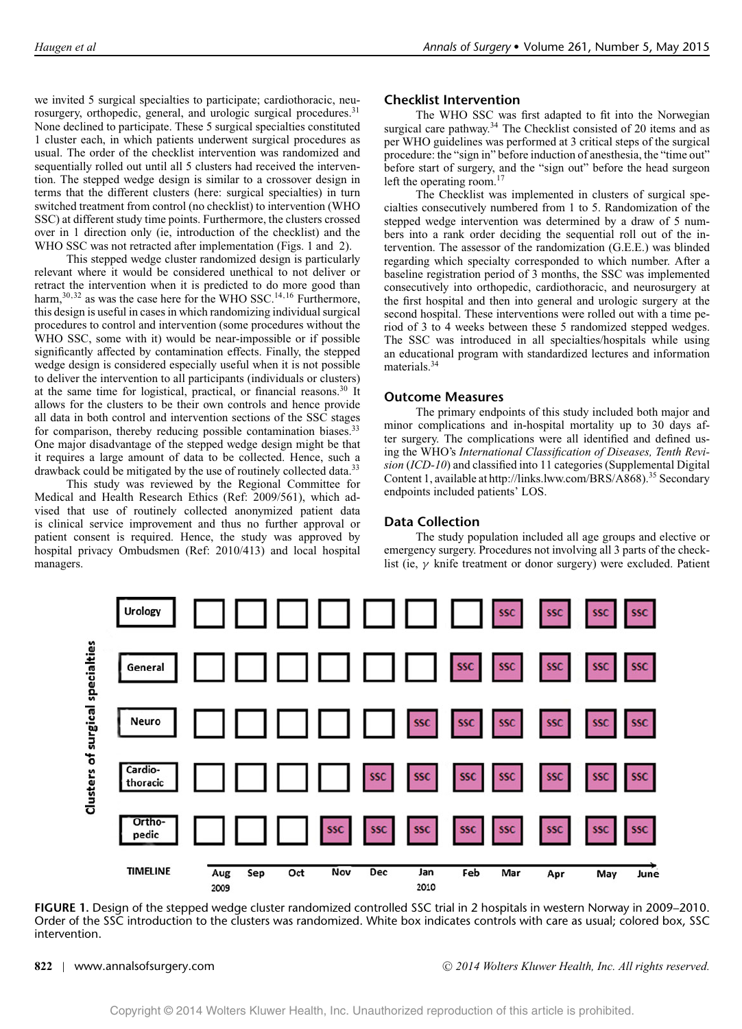we invited 5 surgical specialties to participate; cardiothoracic, neurosurgery, orthopedic, general, and urologic surgical procedures.<sup>31</sup> None declined to participate. These 5 surgical specialties constituted 1 cluster each, in which patients underwent surgical procedures as usual. The order of the checklist intervention was randomized and sequentially rolled out until all 5 clusters had received the intervention. The stepped wedge design is similar to a crossover design in terms that the different clusters (here: surgical specialties) in turn switched treatment from control (no checklist) to intervention (WHO SSC) at different study time points. Furthermore, the clusters crossed over in 1 direction only (ie, introduction of the checklist) and the WHO SSC was not retracted after implementation (Figs. 1 and 2).

This stepped wedge cluster randomized design is particularly relevant where it would be considered unethical to not deliver or retract the intervention when it is predicted to do more good than harm,<sup>30,32</sup> as was the case here for the WHO SSC.<sup>14,16</sup> Furthermore, this design is useful in cases in which randomizing individual surgical procedures to control and intervention (some procedures without the WHO SSC, some with it) would be near-impossible or if possible significantly affected by contamination effects. Finally, the stepped wedge design is considered especially useful when it is not possible to deliver the intervention to all participants (individuals or clusters) at the same time for logistical, practical, or financial reasons.<sup>30</sup> It allows for the clusters to be their own controls and hence provide all data in both control and intervention sections of the SSC stages for comparison, thereby reducing possible contamination biases.<sup>33</sup> One major disadvantage of the stepped wedge design might be that it requires a large amount of data to be collected. Hence, such a drawback could be mitigated by the use of routinely collected data.<sup>33</sup>

This study was reviewed by the Regional Committee for Medical and Health Research Ethics (Ref: 2009/561), which advised that use of routinely collected anonymized patient data is clinical service improvement and thus no further approval or patient consent is required. Hence, the study was approved by hospital privacy Ombudsmen (Ref: 2010/413) and local hospital managers.

# **Checklist Intervention**

The WHO SSC was first adapted to fit into the Norwegian surgical care pathway.<sup>34</sup> The Checklist consisted of 20 items and as per WHO guidelines was performed at 3 critical steps of the surgical procedure: the "sign in" before induction of anesthesia, the "time out" before start of surgery, and the "sign out" before the head surgeon left the operating room.<sup>17</sup>

The Checklist was implemented in clusters of surgical specialties consecutively numbered from 1 to 5. Randomization of the stepped wedge intervention was determined by a draw of 5 numbers into a rank order deciding the sequential roll out of the intervention. The assessor of the randomization (G.E.E.) was blinded regarding which specialty corresponded to which number. After a baseline registration period of 3 months, the SSC was implemented consecutively into orthopedic, cardiothoracic, and neurosurgery at the first hospital and then into general and urologic surgery at the second hospital. These interventions were rolled out with a time period of 3 to 4 weeks between these 5 randomized stepped wedges. The SSC was introduced in all specialties/hospitals while using an educational program with standardized lectures and information materials.<sup>34</sup>

# **Outcome Measures**

The primary endpoints of this study included both major and minor complications and in-hospital mortality up to 30 days after surgery. The complications were all identified and defined using the WHO's *International Classification of Diseases, Tenth Revision* (*ICD-10*) and classified into 11 categories (Supplemental Digital Content 1, available at [http://links.lww.com/BRS/A868\)](http://links.lww.com/BRS/A868).<sup>35</sup> Secondary endpoints included patients' LOS.

# **Data Collection**

The study population included all age groups and elective or emergency surgery. Procedures not involving all 3 parts of the checklist (ie, γ knife treatment or donor surgery) were excluded. Patient



**FIGURE 1.** Design of the stepped wedge cluster randomized controlled SSC trial in 2 hospitals in western Norway in 2009–2010. Order of the SSC introduction to the clusters was randomized. White box indicates controls with care as usual; colored box, SSC intervention.

**822** | www.annalsofsurgery.com <sup>C</sup> *2014 Wolters Kluwer Health, Inc. All rights reserved.*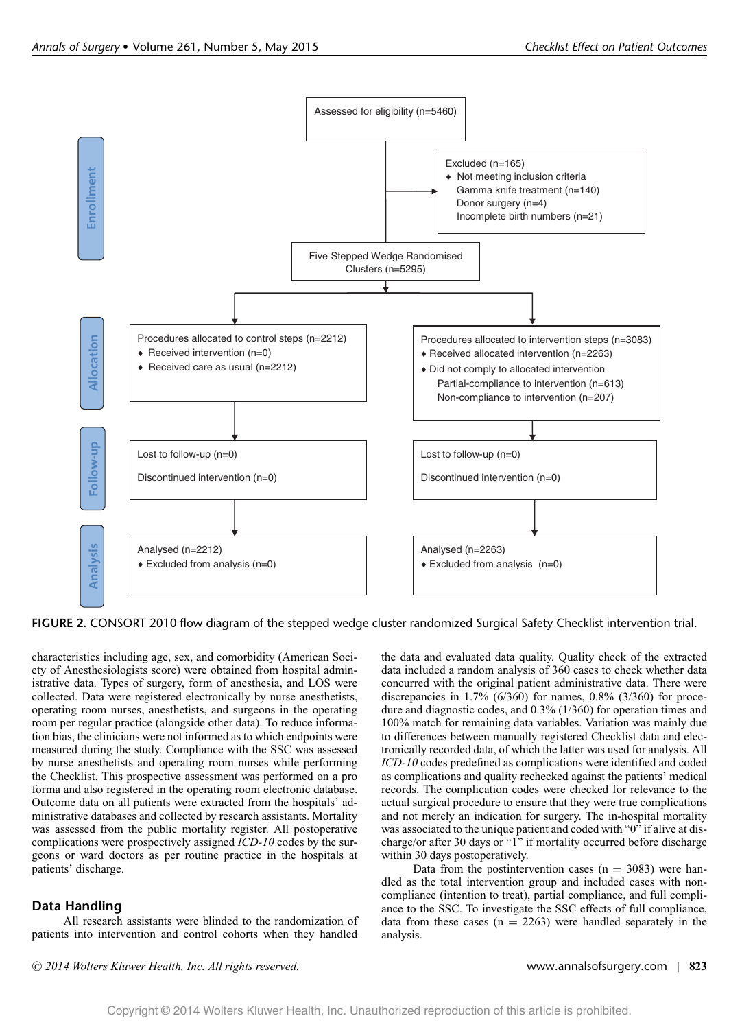

**FIGURE 2.** CONSORT 2010 flow diagram of the stepped wedge cluster randomized Surgical Safety Checklist intervention trial.

characteristics including age, sex, and comorbidity (American Society of Anesthesiologists score) were obtained from hospital administrative data. Types of surgery, form of anesthesia, and LOS were collected. Data were registered electronically by nurse anesthetists, operating room nurses, anesthetists, and surgeons in the operating room per regular practice (alongside other data). To reduce information bias, the clinicians were not informed as to which endpoints were measured during the study. Compliance with the SSC was assessed by nurse anesthetists and operating room nurses while performing the Checklist. This prospective assessment was performed on a pro forma and also registered in the operating room electronic database. Outcome data on all patients were extracted from the hospitals' administrative databases and collected by research assistants. Mortality was assessed from the public mortality register. All postoperative complications were prospectively assigned *ICD-10* codes by the surgeons or ward doctors as per routine practice in the hospitals at patients' discharge.

# **Data Handling**

All research assistants were blinded to the randomization of patients into intervention and control cohorts when they handled

the data and evaluated data quality. Quality check of the extracted data included a random analysis of 360 cases to check whether data concurred with the original patient administrative data. There were discrepancies in 1.7% (6/360) for names, 0.8% (3/360) for procedure and diagnostic codes, and 0.3% (1/360) for operation times and 100% match for remaining data variables. Variation was mainly due to differences between manually registered Checklist data and electronically recorded data, of which the latter was used for analysis. All *ICD-10* codes predefined as complications were identified and coded as complications and quality rechecked against the patients' medical records. The complication codes were checked for relevance to the actual surgical procedure to ensure that they were true complications and not merely an indication for surgery. The in-hospital mortality was associated to the unique patient and coded with "0" if alive at discharge/or after 30 days or "1" if mortality occurred before discharge within 30 days postoperatively.

Data from the postintervention cases  $(n = 3083)$  were handled as the total intervention group and included cases with noncompliance (intention to treat), partial compliance, and full compliance to the SSC. To investigate the SSC effects of full compliance, data from these cases  $(n = 2263)$  were handled separately in the analysis.

<sup>C</sup> *2014 Wolters Kluwer Health, Inc. All rights reserved.* www.annalsofsurgery.com | **823**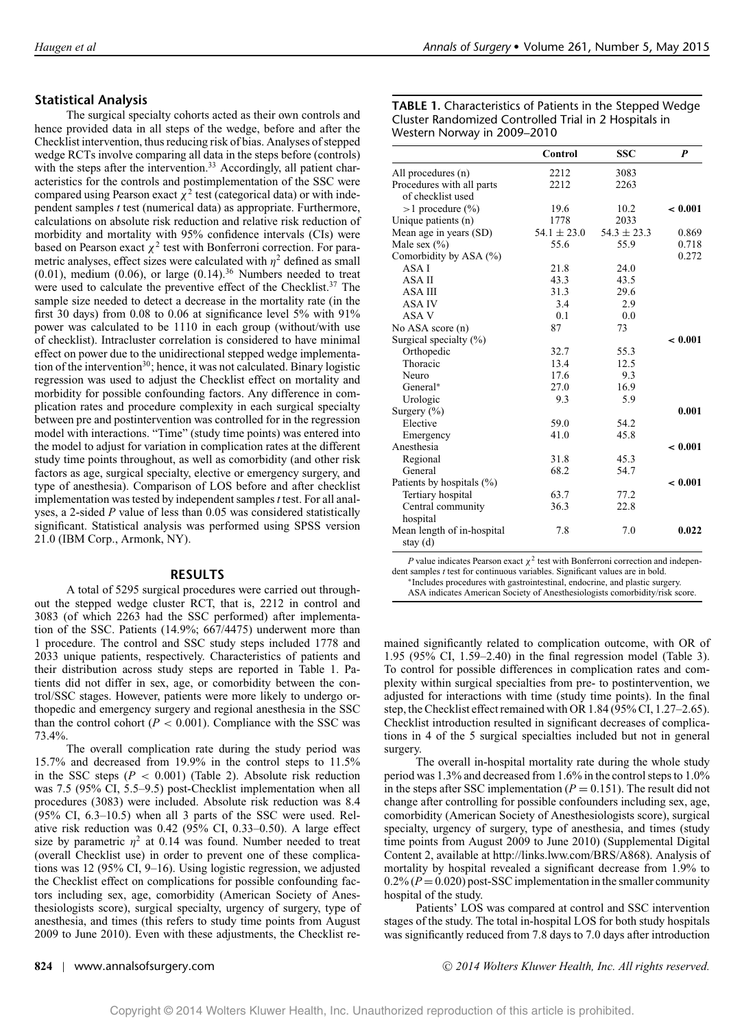# **Statistical Analysis**

The surgical specialty cohorts acted as their own controls and hence provided data in all steps of the wedge, before and after the Checklist intervention, thus reducing risk of bias. Analyses of stepped wedge RCTs involve comparing all data in the steps before (controls) with the steps after the intervention.<sup>33</sup> Accordingly, all patient characteristics for the controls and postimplementation of the SSC were compared using Pearson exact  $\chi^2$  test (categorical data) or with independent samples *t* test (numerical data) as appropriate. Furthermore, calculations on absolute risk reduction and relative risk reduction of morbidity and mortality with 95% confidence intervals (CIs) were based on Pearson exact  $\chi^2$  test with Bonferroni correction. For parametric analyses, effect sizes were calculated with  $\eta^2$  defined as small  $(0.01)$ , medium  $(0.06)$ , or large  $(0.14)$ .<sup>36</sup> Numbers needed to treat were used to calculate the preventive effect of the Checklist.<sup>37</sup> The sample size needed to detect a decrease in the mortality rate (in the first 30 days) from 0.08 to 0.06 at significance level 5% with 91% power was calculated to be 1110 in each group (without/with use of checklist). Intracluster correlation is considered to have minimal effect on power due to the unidirectional stepped wedge implementation of the intervention<sup>30</sup>; hence, it was not calculated. Binary logistic regression was used to adjust the Checklist effect on mortality and morbidity for possible confounding factors. Any difference in complication rates and procedure complexity in each surgical specialty between pre and postintervention was controlled for in the regression model with interactions. "Time" (study time points) was entered into the model to adjust for variation in complication rates at the different study time points throughout, as well as comorbidity (and other risk factors as age, surgical specialty, elective or emergency surgery, and type of anesthesia). Comparison of LOS before and after checklist implementation was tested by independent samples*t* test. For all analyses, a 2-sided *P* value of less than 0.05 was considered statistically significant. Statistical analysis was performed using SPSS version 21.0 (IBM Corp., Armonk, NY).

### **RESULTS**

A total of 5295 surgical procedures were carried out throughout the stepped wedge cluster RCT, that is, 2212 in control and 3083 (of which 2263 had the SSC performed) after implementation of the SSC. Patients (14.9%; 667/4475) underwent more than 1 procedure. The control and SSC study steps included 1778 and 2033 unique patients, respectively. Characteristics of patients and their distribution across study steps are reported in Table 1. Patients did not differ in sex, age, or comorbidity between the control/SSC stages. However, patients were more likely to undergo orthopedic and emergency surgery and regional anesthesia in the SSC than the control cohort  $(P < 0.001)$ . Compliance with the SSC was 73.4%.

The overall complication rate during the study period was 15.7% and decreased from 19.9% in the control steps to 11.5% in the SSC steps  $(P < 0.001)$  (Table 2). Absolute risk reduction was 7.5 (95% CI, 5.5–9.5) post-Checklist implementation when all procedures (3083) were included. Absolute risk reduction was 8.4 (95% CI, 6.3–10.5) when all 3 parts of the SSC were used. Relative risk reduction was 0.42 (95% CI, 0.33–0.50). A large effect size by parametric  $\eta^2$  at 0.14 was found. Number needed to treat (overall Checklist use) in order to prevent one of these complications was 12 (95% CI, 9–16). Using logistic regression, we adjusted the Checklist effect on complications for possible confounding factors including sex, age, comorbidity (American Society of Anesthesiologists score), surgical specialty, urgency of surgery, type of anesthesia, and times (this refers to study time points from August 2009 to June 2010). Even with these adjustments, the Checklist re-

#### **TABLE 1.** Characteristics of Patients in the Stepped Wedge Cluster Randomized Controlled Trial in 2 Hospitals in Western Norway in 2009–2010

|                                          | Control         | <b>SSC</b>      | $\boldsymbol{p}$ |
|------------------------------------------|-----------------|-----------------|------------------|
| All procedures (n)                       | 2212            | 3083            |                  |
| Procedures with all parts                | 2212            | 2263            |                  |
| of checklist used                        |                 |                 |                  |
| $>1$ procedure $(\% )$                   | 19.6            | 10.2            | < 0.001          |
| Unique patients (n)                      | 1778            | 2033            |                  |
| Mean age in years (SD)                   | $54.1 \pm 23.0$ | $54.3 \pm 23.3$ | 0.869            |
| Male sex $(\% )$                         | 55.6            | 55.9            | 0.718            |
| Comorbidity by ASA (%)                   |                 |                 | 0.272            |
| ASA I                                    | 21.8            | 24.0            |                  |
| ASA II                                   | 43.3            | 43.5            |                  |
| ASA III                                  | 31.3            | 29.6            |                  |
| ASA IV                                   | 3.4             | 2.9             |                  |
| ASA V                                    | 0.1             | 0.0             |                  |
| No ASA score (n)                         | 87              | 73              |                  |
| Surgical specialty $(\% )$               |                 |                 | < 0.001          |
| Orthopedic                               | 32.7            | 55.3            |                  |
| Thoracic                                 | 13.4            | 12.5            |                  |
| Neuro                                    | 17.6            | 9.3             |                  |
| General*                                 | 27.0            | 16.9            |                  |
| Urologic                                 | 9.3             | 5.9             |                  |
| Surgery $(\% )$                          |                 |                 | 0.001            |
| Elective                                 | 59.0            | 54.2            |                  |
| Emergency                                | 41.0            | 45.8            |                  |
| Anesthesia                               |                 |                 | < 0.001          |
| Regional                                 | 31.8            | 45.3            |                  |
| General                                  | 68.2            | 54.7            |                  |
| Patients by hospitals (%)                |                 |                 | < 0.001          |
| Tertiary hospital                        | 63.7            | 77.2            |                  |
| Central community                        | 36.3            | 22.8            |                  |
| hospital                                 |                 |                 |                  |
| Mean length of in-hospital<br>stay $(d)$ | 7.8             | 7.0             | 0.022            |

*P* value indicates Pearson exact  $\chi^2$  test with Bonferroni correction and independent samples *t* test for continuous variables. Significant values are in bold.

∗Includes procedures with gastrointestinal, endocrine, and plastic surgery.

ASA indicates American Society of Anesthesiologists comorbidity/risk score.

mained significantly related to complication outcome, with OR of 1.95 (95% CI, 1.59–2.40) in the final regression model (Table 3). To control for possible differences in complication rates and complexity within surgical specialties from pre- to postintervention, we adjusted for interactions with time (study time points). In the final step, the Checklist effect remained with OR 1.84 (95% CI, 1.27–2.65). Checklist introduction resulted in significant decreases of complications in 4 of the 5 surgical specialties included but not in general surgery.

The overall in-hospital mortality rate during the whole study period was 1.3% and decreased from 1.6% in the control steps to 1.0% in the steps after SSC implementation  $(P = 0.151)$ . The result did not change after controlling for possible confounders including sex, age, comorbidity (American Society of Anesthesiologists score), surgical specialty, urgency of surgery, type of anesthesia, and times (study time points from August 2009 to June 2010) (Supplemental Digital Content 2, available at [http://links.lww.com/BRS/A868\)](http://links.lww.com/BRS/A868). Analysis of mortality by hospital revealed a significant decrease from 1.9% to  $0.2\% (P = 0.020)$  post-SSC implementation in the smaller community hospital of the study.

Patients' LOS was compared at control and SSC intervention stages of the study. The total in-hospital LOS for both study hospitals was significantly reduced from 7.8 days to 7.0 days after introduction

**824** | www.annalsofsurgery.com <sup>C</sup> *2014 Wolters Kluwer Health, Inc. All rights reserved.*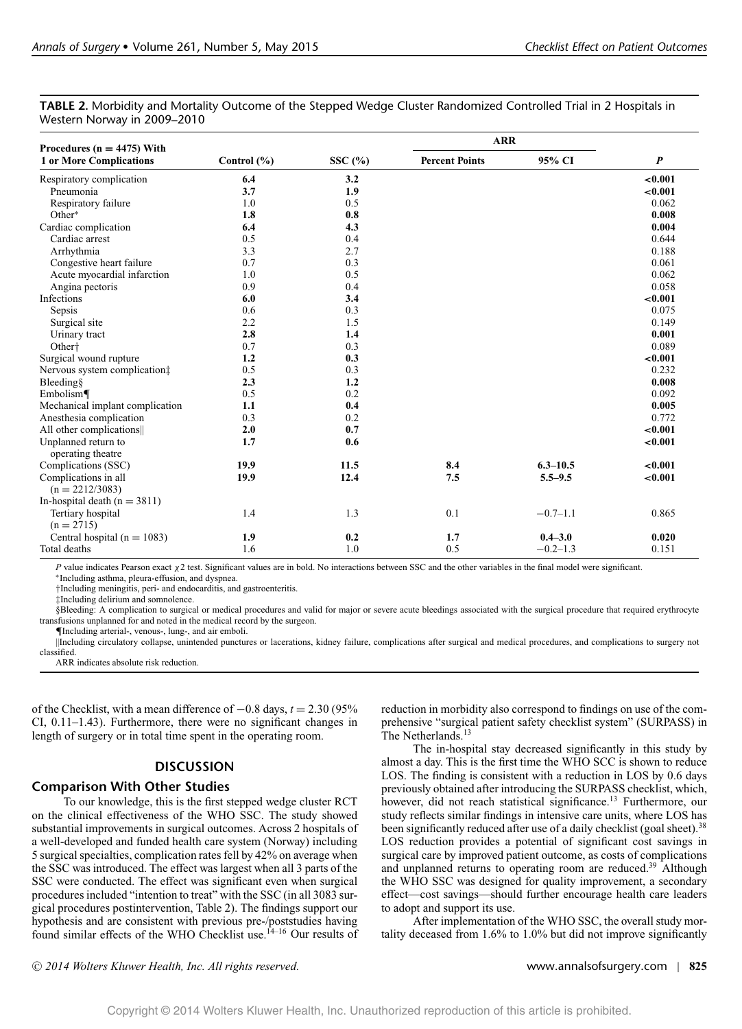| TABLE 2. Morbidity and Mortality Outcome of the Stepped Wedge Cluster Randomized Controlled Trial in 2 Hospitals in |  |  |
|---------------------------------------------------------------------------------------------------------------------|--|--|
| Western Norway in 2009–2010                                                                                         |  |  |

| Procedures ( $n = 4475$ ) With           |             |           | <b>ARR</b>            |              |          |
|------------------------------------------|-------------|-----------|-----------------------|--------------|----------|
| <b>1 or More Complications</b>           | Control (%) | SSC $(%)$ | <b>Percent Points</b> | 95% CI       | P        |
| Respiratory complication                 | 6.4         | 3.2       |                       |              | < 0.001  |
| Pneumonia                                | 3.7         | 1.9       |                       |              | < 0.001  |
| Respiratory failure                      | 1.0         | 0.5       |                       |              | 0.062    |
| Other*                                   | 1.8         | 0.8       |                       |              | 0.008    |
| Cardiac complication                     | 6.4         | 4.3       |                       |              | 0.004    |
| Cardiac arrest                           | 0.5         | 0.4       |                       |              | 0.644    |
| Arrhythmia                               | 3.3         | 2.7       |                       |              | 0.188    |
| Congestive heart failure                 | 0.7         | 0.3       |                       |              | 0.061    |
| Acute myocardial infarction              | 1.0         | 0.5       |                       |              | 0.062    |
| Angina pectoris                          | 0.9         | 0.4       |                       |              | 0.058    |
| Infections                               | 6.0         | 3.4       |                       |              | < 0.001  |
| Sepsis                                   | 0.6         | 0.3       |                       |              | 0.075    |
| Surgical site                            | 2.2         | 1.5       |                       |              | 0.149    |
| Urinary tract                            | 2.8         | 1.4       |                       |              | 0.001    |
| Other <sup>+</sup>                       | 0.7         | 0.3       |                       |              | 0.089    |
| Surgical wound rupture                   | 1.2         | 0.3       |                       |              | < 0.001  |
| Nervous system complication:             | 0.5         | 0.3       |                       |              | 0.232    |
| Bleeding                                 | 2.3         | 1.2       |                       |              | 0.008    |
| Embolism                                 | 0.5         | 0.2       |                       |              | 0.092    |
| Mechanical implant complication          | 1.1         | 0.4       |                       |              | 0.005    |
| Anesthesia complication                  | 0.3         | 0.2       |                       |              | 0.772    |
| All other complications                  | 2.0         | 0.7       |                       |              | < 0.001  |
| Unplanned return to<br>operating theatre | 1.7         | 0.6       |                       |              | < 0.001  |
| Complications (SSC)                      | 19.9        | 11.5      | 8.4                   | $6.3 - 10.5$ | < 0.001  |
| Complications in all                     | 19.9        | 12.4      | 7.5                   | $5.5 - 9.5$  | $-0.001$ |
| $(n = 2212/3083)$                        |             |           |                       |              |          |
| In-hospital death $(n = 3811)$           |             |           |                       |              |          |
| Tertiary hospital                        | 1.4         | 1.3       | 0.1                   | $-0.7 - 1.1$ | 0.865    |
| $(n = 2715)$                             |             |           |                       |              |          |
| Central hospital ( $n = 1083$ )          | 1.9         | 0.2       | 1.7                   | $0.4 - 3.0$  | 0.020    |
| Total deaths                             | 1.6         | 1.0       | 0.5                   | $-0.2 - 1.3$ | 0.151    |

*P* value indicates Pearson exact χ2 test. Significant values are in bold. No interactions between SSC and the other variables in the final model were significant.

∗Including asthma, pleura-effusion, and dyspnea.

†Including meningitis, peri- and endocarditis, and gastroenteritis.

‡Including delirium and somnolence.

§Bleeding: A complication to surgical or medical procedures and valid for major or severe acute bleedings associated with the surgical procedure that required erythrocyte transfusions unplanned for and noted in the medical record by the surgeon.

¶Including arterial-, venous-, lung-, and air emboli.

||Including circulatory collapse, unintended punctures or lacerations, kidney failure, complications after surgical and medical procedures, and complications to surgery not classified.

ARR indicates absolute risk reduction.

of the Checklist, with a mean difference of −0.8 days, *t* = 2.30 (95% CI, 0.11–1.43). Furthermore, there were no significant changes in length of surgery or in total time spent in the operating room.

### **DISCUSSION**

### **Comparison With Other Studies**

To our knowledge, this is the first stepped wedge cluster RCT on the clinical effectiveness of the WHO SSC. The study showed substantial improvements in surgical outcomes. Across 2 hospitals of a well-developed and funded health care system (Norway) including 5 surgical specialties, complication rates fell by 42% on average when the SSC was introduced. The effect was largest when all 3 parts of the SSC were conducted. The effect was significant even when surgical procedures included "intention to treat" with the SSC (in all 3083 surgical procedures postintervention, Table 2). The findings support our hypothesis and are consistent with previous pre-/poststudies having found similar effects of the WHO Checklist use.<sup>14-16</sup> Our results of

reduction in morbidity also correspond to findings on use of the comprehensive "surgical patient safety checklist system" (SURPASS) in The Netherlands.<sup>13</sup>

The in-hospital stay decreased significantly in this study by almost a day. This is the first time the WHO SCC is shown to reduce LOS. The finding is consistent with a reduction in LOS by 0.6 days previously obtained after introducing the SURPASS checklist, which, however, did not reach statistical significance.<sup>13</sup> Furthermore, our study reflects similar findings in intensive care units, where LOS has been significantly reduced after use of a daily checklist (goal sheet).<sup>38</sup> LOS reduction provides a potential of significant cost savings in surgical care by improved patient outcome, as costs of complications and unplanned returns to operating room are reduced.<sup>39</sup> Although the WHO SSC was designed for quality improvement, a secondary effect—cost savings—should further encourage health care leaders to adopt and support its use.

After implementation of the WHO SSC, the overall study mortality deceased from 1.6% to 1.0% but did not improve significantly

<sup>C</sup> *2014 Wolters Kluwer Health, Inc. All rights reserved.* www.annalsofsurgery.com | **825**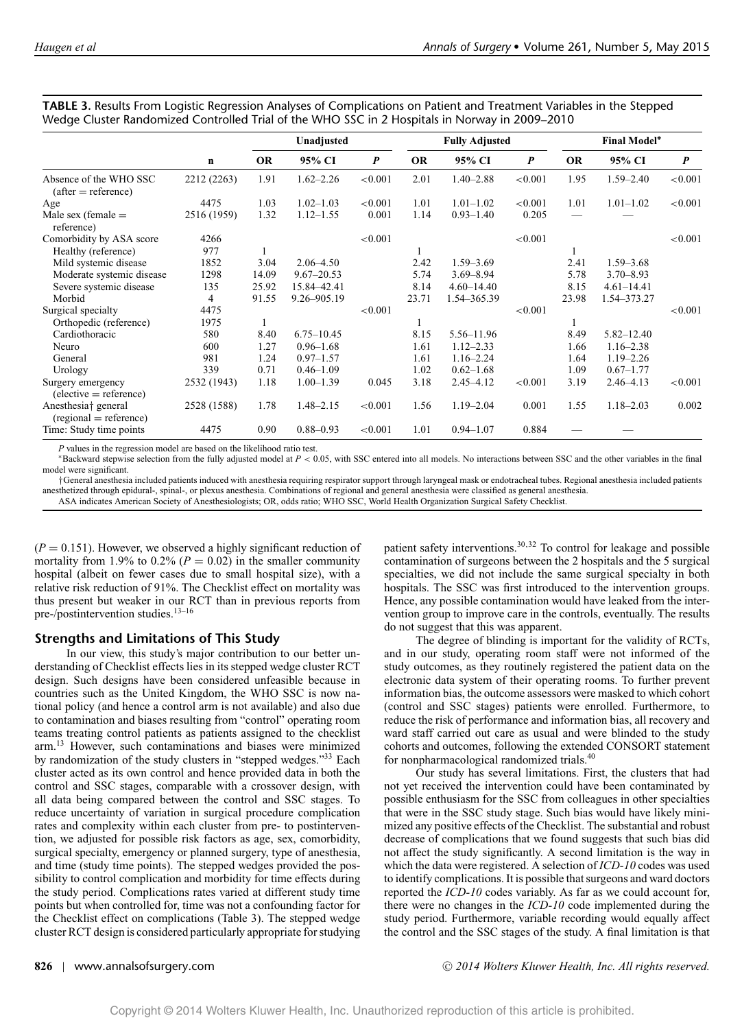|                                                        | $\mathbf n$ |           | Unadjusted     |                  |           | <b>Fully Adjusted</b> |                  |           | <b>Final Model*</b> |                  |
|--------------------------------------------------------|-------------|-----------|----------------|------------------|-----------|-----------------------|------------------|-----------|---------------------|------------------|
|                                                        |             | <b>OR</b> | 95% CI         | $\boldsymbol{P}$ | <b>OR</b> | 95% CI                | $\boldsymbol{P}$ | <b>OR</b> | 95% CI              | $\boldsymbol{P}$ |
| Absence of the WHO SSC<br>$(after = reference)$        | 2212 (2263) | 1.91      | $1.62 - 2.26$  | < 0.001          | 2.01      | $1.40 - 2.88$         | < 0.001          | 1.95      | $1.59 - 2.40$       | < 0.001          |
| Age                                                    | 4475        | 1.03      | $1.02 - 1.03$  | < 0.001          | 1.01      | $1.01 - 1.02$         | < 0.001          | 1.01      | $1.01 - 1.02$       | < 0.001          |
| Male sex (female $=$<br>reference)                     | 2516 (1959) | 1.32      | $1.12 - 1.55$  | 0.001            | 1.14      | $0.93 - 1.40$         | 0.205            |           |                     |                  |
| Comorbidity by ASA score                               | 4266        |           |                | < 0.001          |           |                       | < 0.001          |           |                     | < 0.001          |
| Healthy (reference)                                    | 977         |           |                |                  |           |                       |                  |           |                     |                  |
| Mild systemic disease                                  | 1852        | 3.04      | $2.06 - 4.50$  |                  | 2.42      | $1.59 - 3.69$         |                  | 2.41      | $1.59 - 3.68$       |                  |
| Moderate systemic disease                              | 1298        | 14.09     | $9.67 - 20.53$ |                  | 5.74      | $3.69 - 8.94$         |                  | 5.78      | $3.70 - 8.93$       |                  |
| Severe systemic disease                                | 135         | 25.92     | 15.84-42.41    |                  | 8.14      | $4.60 - 14.40$        |                  | 8.15      | $4.61 - 14.41$      |                  |
| Morbid                                                 | 4           | 91.55     | 9.26-905.19    |                  | 23.71     | 1.54-365.39           |                  | 23.98     | 1.54-373.27         |                  |
| Surgical specialty                                     | 4475        |           |                | < 0.001          |           |                       | < 0.001          |           |                     | ${<}0.001$       |
| Orthopedic (reference)                                 | 1975        |           |                |                  |           |                       |                  |           |                     |                  |
| Cardiothoracic                                         | 580         | 8.40      | $6.75 - 10.45$ |                  | 8.15      | 5.56-11.96            |                  | 8.49      | $5.82 - 12.40$      |                  |
| Neuro                                                  | 600         | 1.27      | $0.96 - 1.68$  |                  | 1.61      | $1.12 - 2.33$         |                  | 1.66      | $1.16 - 2.38$       |                  |
| General                                                | 981         | 1.24      | $0.97 - 1.57$  |                  | 1.61      | $1.16 - 2.24$         |                  | 1.64      | $1.19 - 2.26$       |                  |
| Urology                                                | 339         | 0.71      | $0.46 - 1.09$  |                  | 1.02      | $0.62 - 1.68$         |                  | 1.09      | $0.67 - 1.77$       |                  |
| Surgery emergency<br>$(elective = reference)$          | 2532 (1943) | 1.18      | $1.00 - 1.39$  | 0.045            | 3.18      | $2.45 - 4.12$         | < 0.001          | 3.19      | $2.46 - 4.13$       | < 0.001          |
| Anesthesia† general<br>$^{\rm (regional = reference)}$ | 2528 (1588) | 1.78      | $1.48 - 2.15$  | < 0.001          | 1.56      | $1.19 - 2.04$         | 0.001            | 1.55      | $1.18 - 2.03$       | 0.002            |
| Time: Study time points                                | 4475        | 0.90      | $0.88 - 0.93$  | < 0.001          | 1.01      | $0.94 - 1.07$         | 0.884            |           |                     |                  |

**TABLE 3.** Results From Logistic Regression Analyses of Complications on Patient and Treatment Variables in the Stepped Wedge Cluster Randomized Controlled Trial of the WHO SSC in 2 Hospitals in Norway in 2009–2010

*P* values in the regression model are based on the likelihood ratio test.

∗Backward stepwise selection from the fully adjusted model at *P* < 0.05, with SSC entered into all models. No interactions between SSC and the other variables in the final model were significant.

†General anesthesia included patients induced with anesthesia requiring respirator support through laryngeal mask or endotracheal tubes. Regional anesthesia included patients anesthetized through epidural-, spinal-, or plexus anesthesia. Combinations of regional and general anesthesia were classified as general anesthesia. ASA indicates American Society of Anesthesiologists; OR, odds ratio; WHO SSC, World Health Organization Surgical Safety Checklist.

 $(P = 0.151)$ . However, we observed a highly significant reduction of mortality from 1.9% to 0.2% ( $P = 0.02$ ) in the smaller community hospital (albeit on fewer cases due to small hospital size), with a relative risk reduction of 91%. The Checklist effect on mortality was thus present but weaker in our RCT than in previous reports from pre-/postintervention studies.<sup>13-16</sup>

# **Strengths and Limitations of This Study**

In our view, this study's major contribution to our better understanding of Checklist effects lies in its stepped wedge cluster RCT design. Such designs have been considered unfeasible because in countries such as the United Kingdom, the WHO SSC is now national policy (and hence a control arm is not available) and also due to contamination and biases resulting from "control" operating room teams treating control patients as patients assigned to the checklist arm.<sup>13</sup> However, such contaminations and biases were minimized by randomization of the study clusters in "stepped wedges."33 Each cluster acted as its own control and hence provided data in both the control and SSC stages, comparable with a crossover design, with all data being compared between the control and SSC stages. To reduce uncertainty of variation in surgical procedure complication rates and complexity within each cluster from pre- to postintervention, we adjusted for possible risk factors as age, sex, comorbidity, surgical specialty, emergency or planned surgery, type of anesthesia, and time (study time points). The stepped wedges provided the possibility to control complication and morbidity for time effects during the study period. Complications rates varied at different study time points but when controlled for, time was not a confounding factor for the Checklist effect on complications (Table 3). The stepped wedge cluster RCT design is considered particularly appropriate for studying

patient safety interventions.30,32 To control for leakage and possible contamination of surgeons between the 2 hospitals and the 5 surgical specialties, we did not include the same surgical specialty in both hospitals. The SSC was first introduced to the intervention groups. Hence, any possible contamination would have leaked from the intervention group to improve care in the controls, eventually. The results do not suggest that this was apparent.

The degree of blinding is important for the validity of RCTs, and in our study, operating room staff were not informed of the study outcomes, as they routinely registered the patient data on the electronic data system of their operating rooms. To further prevent information bias, the outcome assessors were masked to which cohort (control and SSC stages) patients were enrolled. Furthermore, to reduce the risk of performance and information bias, all recovery and ward staff carried out care as usual and were blinded to the study cohorts and outcomes, following the extended CONSORT statement for nonpharmacological randomized trials.40

Our study has several limitations. First, the clusters that had not yet received the intervention could have been contaminated by possible enthusiasm for the SSC from colleagues in other specialties that were in the SSC study stage. Such bias would have likely minimized any positive effects of the Checklist. The substantial and robust decrease of complications that we found suggests that such bias did not affect the study significantly. A second limitation is the way in which the data were registered. A selection of *ICD-10* codes was used to identify complications. It is possible that surgeons and ward doctors reported the *ICD-10* codes variably. As far as we could account for, there were no changes in the *ICD-10* code implemented during the study period. Furthermore, variable recording would equally affect the control and the SSC stages of the study. A final limitation is that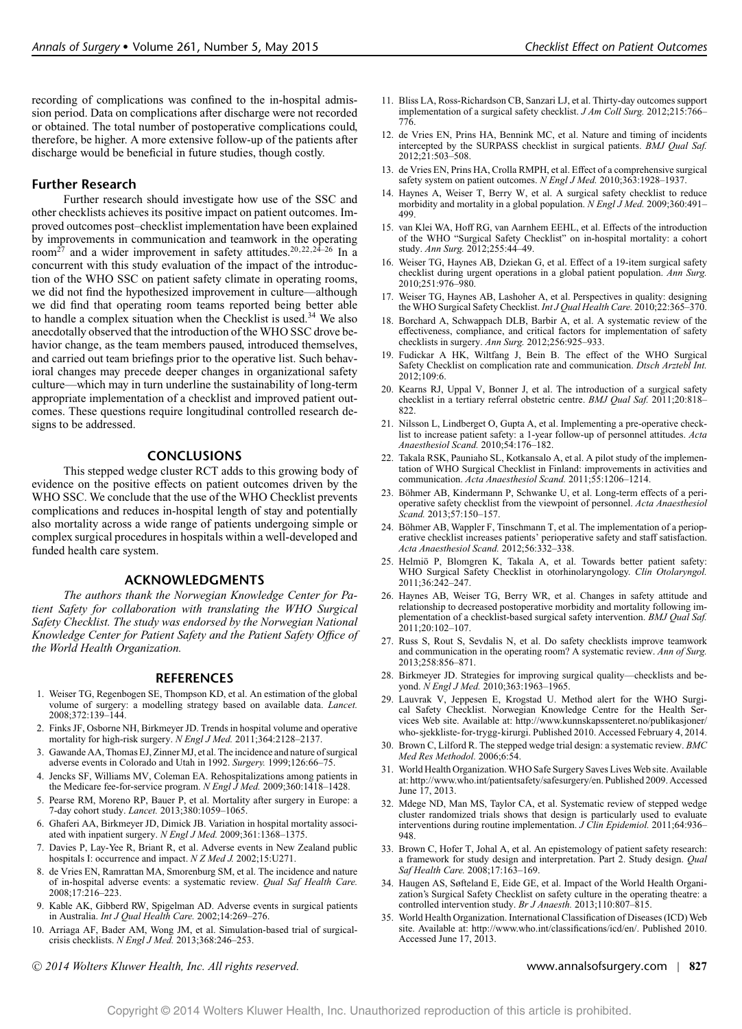recording of complications was confined to the in-hospital admission period. Data on complications after discharge were not recorded or obtained. The total number of postoperative complications could, therefore, be higher. A more extensive follow-up of the patients after discharge would be beneficial in future studies, though costly.

### **Further Research**

Further research should investigate how use of the SSC and other checklists achieves its positive impact on patient outcomes. Improved outcomes post–checklist implementation have been explained by improvements in communication and teamwork in the operating room<sup>27</sup> and a wider improvement in safety attitudes.<sup>20,22,24-26</sup> In a concurrent with this study evaluation of the impact of the introduction of the WHO SSC on patient safety climate in operating rooms, we did not find the hypothesized improvement in culture—although we did find that operating room teams reported being better able to handle a complex situation when the Checklist is used.<sup>34</sup> We also anecdotally observed that the introduction of the WHO SSC drove behavior change, as the team members paused, introduced themselves, and carried out team briefings prior to the operative list. Such behavioral changes may precede deeper changes in organizational safety culture—which may in turn underline the sustainability of long-term appropriate implementation of a checklist and improved patient outcomes. These questions require longitudinal controlled research designs to be addressed.

### **CONCLUSIONS**

This stepped wedge cluster RCT adds to this growing body of evidence on the positive effects on patient outcomes driven by the WHO SSC. We conclude that the use of the WHO Checklist prevents complications and reduces in-hospital length of stay and potentially also mortality across a wide range of patients undergoing simple or complex surgical procedures in hospitals within a well-developed and funded health care system.

### **ACKNOWLEDGMENTS**

*The authors thank the Norwegian Knowledge Center for Patient Safety for collaboration with translating the WHO Surgical Safety Checklist. The study was endorsed by the Norwegian National Knowledge Center for Patient Safety and the Patient Safety Office of the World Health Organization.*

#### **REFERENCES**

- 1. Weiser TG, Regenbogen SE, Thompson KD, et al. An estimation of the global volume of surgery: a modelling strategy based on available data. *Lancet.* 2008;372:139–144.
- 2. Finks JF, Osborne NH, Birkmeyer JD. Trends in hospital volume and operative mortality for high-risk surgery. *N Engl J Med.* 2011;364:2128–2137.
- 3. Gawande AA, Thomas EJ, Zinner MJ, et al. The incidence and nature of surgical adverse events in Colorado and Utah in 1992. *Surgery.* 1999;126:66–75.
- 4. Jencks SF, Williams MV, Coleman EA. Rehospitalizations among patients in the Medicare fee-for-service program. *N Engl J Med.* 2009;360:1418–1428.
- 5. Pearse RM, Moreno RP, Bauer P, et al. Mortality after surgery in Europe: a 7-day cohort study. *Lancet.* 2013;380:1059–1065.
- 6. Ghaferi AA, Birkmeyer JD, Dimick JB. Variation in hospital mortality associated with inpatient surgery. *N Engl J Med.* 2009;361:1368–1375.
- 7. Davies P, Lay-Yee R, Briant R, et al. Adverse events in New Zealand public hospitals I: occurrence and impact. *N Z Med J.* 2002;15:U271.
- 8. de Vries EN, Ramrattan MA, Smorenburg SM, et al. The incidence and nature of in-hospital adverse events: a systematic review. *Qual Saf Health Care.* 2008;17:216–223.
- 9. Kable AK, Gibberd RW, Spigelman AD. Adverse events in surgical patients in Australia. *Int J Qual Health Care.* 2002;14:269–276.
- 10. Arriaga AF, Bader AM, Wong JM, et al. Simulation-based trial of surgicalcrisis checklists. *N Engl J Med.* 2013;368:246–253.
- <sup>C</sup> *2014 Wolters Kluwer Health, Inc. All rights reserved.* www.annalsofsurgery.com | **827**
- 11. Bliss LA, Ross-Richardson CB, Sanzari LJ, et al. Thirty-day outcomes support implementation of a surgical safety checklist. *J Am Coll Surg.* 2012;215:766– 776.
- 12. de Vries EN, Prins HA, Bennink MC, et al. Nature and timing of incidents intercepted by the SURPASS checklist in surgical patients. *BMJ Qual Saf.* 2012;21:503–508.
- 13. de Vries EN, Prins HA, Crolla RMPH, et al. Effect of a comprehensive surgical safety system on patient outcomes. *N Engl J Med.* 2010;363:1928–1937.
- 14. Haynes A, Weiser T, Berry W, et al. A surgical safety checklist to reduce morbidity and mortality in a global population. *N Engl J Med.* 2009;360:491– 499.
- 15. van Klei WA, Hoff RG, van Aarnhem EEHL, et al. Effects of the introduction of the WHO "Surgical Safety Checklist" on in-hospital mortality: a cohort study. *Ann Surg.* 2012;255:44–49.
- 16. Weiser TG, Haynes AB, Dziekan G, et al. Effect of a 19-item surgical safety checklist during urgent operations in a global patient population. *Ann Surg.* 2010;251:976–980.
- 17. Weiser TG, Haynes AB, Lashoher A, et al. Perspectives in quality: designing the WHO Surgical Safety Checklist. *Int J Qual Health Care.* 2010;22:365–370.
- 18. Borchard A, Schwappach DLB, Barbir A, et al. A systematic review of the effectiveness, compliance, and critical factors for implementation of safety checklists in surgery. *Ann Surg.* 2012;256:925–933.
- 19. Fudickar A HK, Wiltfang J, Bein B. The effect of the WHO Surgical Safety Checklist on complication rate and communication. *Dtsch Arztebl Int.* 2012;109:6.
- 20. Kearns RJ, Uppal V, Bonner J, et al. The introduction of a surgical safety checklist in a tertiary referral obstetric centre. *BMJ Qual Saf.* 2011;20:818– 822.
- 21. Nilsson L, Lindberget O, Gupta A, et al. Implementing a pre-operative checklist to increase patient safety: a 1-year follow-up of personnel attitudes. *Acta Anaesthesiol Scand.* 2010;54:176–182.
- 22. Takala RSK, Pauniaho SL, Kotkansalo A, et al. A pilot study of the implementation of WHO Surgical Checklist in Finland: improvements in activities and communication. *Acta Anaesthesiol Scand.* 2011;55:1206–1214.
- 23. Böhmer AB, Kindermann P, Schwanke U, et al. Long-term effects of a perioperative safety checklist from the viewpoint of personnel. *Acta Anaesthesiol Scand.* 2013;57:150–157.
- 24. Böhmer AB, Wappler F, Tinschmann T, et al. The implementation of a perioperative checklist increases patients' perioperative safety and staff satisfaction. *Acta Anaesthesiol Scand.* 2012;56:332–338.
- 25. Helmiö P, Blomgren K, Takala A, et al. Towards better patient safety: WHO Surgical Safety Checklist in otorhinolaryngology. *Clin Otolaryngol.* 2011;36:242–247.
- 26. Haynes AB, Weiser TG, Berry WR, et al. Changes in safety attitude and relationship to decreased postoperative morbidity and mortality following implementation of a checklist-based surgical safety intervention. *BMJ Qual Saf.* 2011;20:102–107.
- 27. Russ S, Rout S, Sevdalis N, et al. Do safety checklists improve teamwork and communication in the operating room? A systematic review. *Ann of Surg.* 2013;258:856–871.
- 28. Birkmeyer JD. Strategies for improving surgical quality—checklists and beyond. *N Engl J Med.* 2010;363:1963-1965.
- 29. Lauvrak V, Jeppesen E, Krogstad U. Method alert for the WHO Surgical Safety Checklist. Norwegian Knowledge Centre for the Health Services Web site. Available at: [http://www.kunnskapssenteret.no/publikasjoner/](http://www.kunnskapssenteret.no/publikasjoner/who-sjekkliste-for-trygg-kirurgi) [who-sjekkliste-for-trygg-kirurgi.](http://www.kunnskapssenteret.no/publikasjoner/who-sjekkliste-for-trygg-kirurgi) Published 2010. Accessed February 4, 2014.
- 30. Brown C, Lilford R. The stepped wedge trial design: a systematic review. *BMC Med Res Methodol.* 2006;6:54.
- 31. World Health Organization. WHO Safe Surgery Saves Lives Web site. Available at: [http://www.who.int/patientsafety/safesurgery/en.](http://www.who.int/patientsafety/safesurgery/en) Published 2009. Accessed June 17, 2013.
- 32. Mdege ND, Man MS, Taylor CA, et al. Systematic review of stepped wedge cluster randomized trials shows that design is particularly used to evaluate interventions during routine implementation. *J Clin Epidemiol.* 2011;64:936– 948.
- 33. Brown C, Hofer T, Johal A, et al. An epistemology of patient safety research: a framework for study design and interpretation. Part 2. Study design. *Qual Saf Health Care.* 2008;17:163–169.
- 34. Haugen AS, Søfteland E, Eide GE, et al. Impact of the World Health Organization's Surgical Safety Checklist on safety culture in the operating theatre: a controlled intervention study. *Br J Anaesth.* 2013;110:807–815.
- 35. World Health Organization. International Classification of Diseases (ICD) Web site. Available at: [http://www.who.int/classifications/icd/en/.](http://www.who.int/classifications/icd/en/) Published 2010. Accessed June 17,  $2013$ .